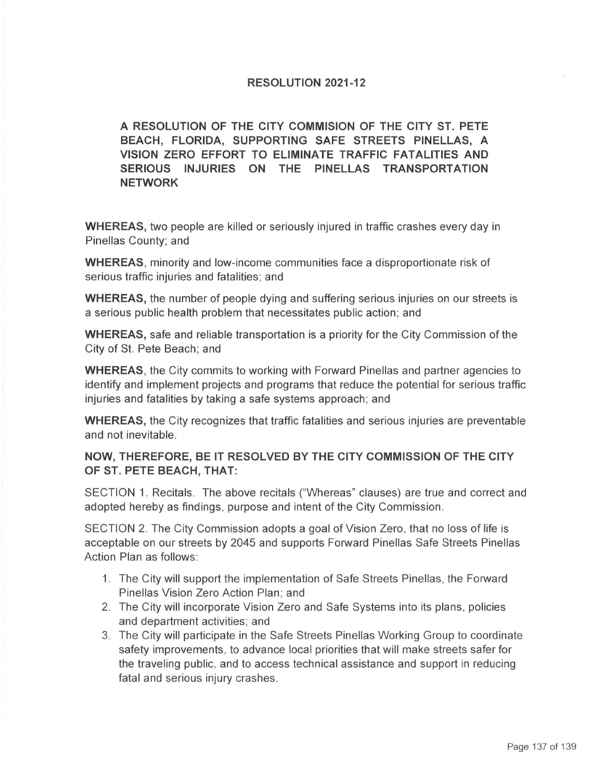## **RESOLUTION 2021-12**

## **A RESOLUTION OF THE CITY COMMISION OF THE CITY ST. PETE BEACH, FLORIDA, SUPPORTING SAFE STREETS PINELLAS, A VISION ZERO EFFORT TO ELIMINATE TRAFFIC FATALITIES AND SERIOUS INJURIES ON THE PINELLAS TRANSPORTATION NETWORK**

**WHEREAS,** two people are killed or seriously injured in traffic crashes every day in Pinellas County; and

**WHEREAS,** minority and low-income communities face a disproportionate risk of serious traffic injuries and fatalities: and

**WHEREAS,** the number of people dying and suffering serious injuries on our streets is a serious public health problem that necessitates public action; and

**WHEREAS,** safe and reliable transportation is a priority for the City Commission of the City of St. Pete Beach; and

**WHEREAS,** the City commits to working with Forward Pinellas and partner agencies to identify and implement projects and programs that reduce the potential for serious traffic injuries and fatalities by taking a safe systems approach; and

**WHEREAS,** the City recognizes that traffic fatalities and serious injuries are preventable and not inevitable.

## **NOW, THEREFORE, BE IT RESOLVED BY THE CITY COMMISSION OF THE CITY OF ST. PETE BEACH, THAT:**

SECTION 1. Recitals. The above recitals ("Whereas" clauses) are true and correct and adopted hereby as findings, purpose and intent of the City Commission .

SECTION 2. The City Commission adopts a goal of Vision Zero , that no loss of life is acceptable on our streets by 2045 and supports Forward Pinellas Safe Streets Pinellas Action Plan as follows:

- 1. The City will support the implementation of Safe Streets Pinellas, the Forward Pinellas Vision Zero Action Plan; and
- 2. The City will incorporate Vision Zero and Safe Systems into its plans, policies and department activities; and
- 3. The City will participate in the Safe Streets Pinellas Working Group to coordinate safety improvements, to advance local priorities that will make streets safer for the traveling public, and to access technical assistance and support in reducing fatal and serious injury crashes.